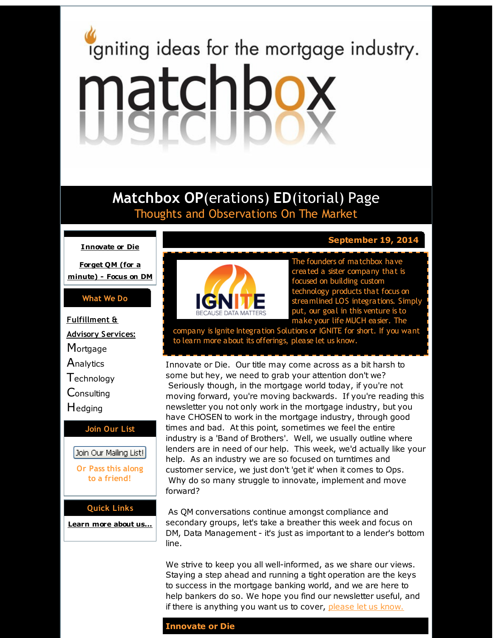# <span id="page-0-0"></span>igniting ideas for the mortgage industry. matchbox

# **Matchbox OP**(erations) **ED**(itorial) Page Thoughts and Observations On The Market

#### **[Innovate](#page-0-0) or Die**

**Forget QM (for a [minute\)](#page-0-0) - Focus on DM**

#### **What We Do**

**Fulfillment & Advisory Services: Mortgage Analytics Technology Consulting H**edging **Join Our List** Join Our Mailing List!

> **Or Pass this along to a friend!**

#### **Quick Links**

**[Learn](http://r20.rs6.net/tn.jsp?f=001NNAqnhlSTbBz4Z0RhSoKEA6JzgvnxFnZ4SzaK-hrYrQVuLyvjJ3jat9B15K9JeZda8nldR-2J5AVe47teL-13KDHr32GNQsE68HIchbL6g7L1PitfJG7_BOlk3IjUYCSyL3xB641dSfwLApKF2xMPTqYRo3t7C37pZZoQ9xyM5iMvu4zq5zVVw==&c=&ch=) more about u[s...](http://r20.rs6.net/tn.jsp?f=001NNAqnhlSTbBz4Z0RhSoKEA6JzgvnxFnZ4SzaK-hrYrQVuLyvjJ3jat9B15K9JeZda8nldR-2J5AVe47teL-13KDHr32GNQsE68HIchbL6g7L1PitfJG7_BOlk3IjUYCSyL3xB641dSfwLApKF2xMPTqYRo3t7C37pZZoQ9xyM5iMvu4zq5zVVw==&c=&ch=)**



**September 19, 2014**

The founders of matchbox have created a sister company that is focused on building custom technology products that focus on streamlined LOS integrations. Simply put, our goal in this venture is to make your life MUCH easier. The

company is Ignite Integration Solutions or IGNITE for short. If you want to learn more about its offerings, please let us know.

Innovate or Die. Our title may come across as a bit harsh to some but hey, we need to grab your attention don't we? Seriously though, in the mortgage world today, if you're not moving forward, you're moving backwards. If you're reading this newsletter you not only work in the mortgage industry, but you have CHOSEN to work in the mortgage industry, through good times and bad. At this point, sometimes we feel the entire industry is a 'Band of Brothers'. Well, we usually outline where lenders are in need of our help. This week, we'd actually like your help. As an industry we are so focused on turntimes and customer service, we just don't 'get it' when it comes to Ops. Why do so many struggle to innovate, implement and move forward?

As QM conversations continue amongst compliance and secondary groups, let's take a breather this week and focus on DM, Data Management - it's just as important to a lender's bottom line.

We strive to keep you all well-informed, as we share our views. Staying a step ahead and running a tight operation are the keys to success in the mortgage banking world, and we are here to help bankers do so. We hope you find our newsletter useful, and if there is anything you want us to cover, [please](http://r20.rs6.net/tn.jsp?f=001NNAqnhlSTbBz4Z0RhSoKEA6JzgvnxFnZ4SzaK-hrYrQVuLyvjJ3jap4l8Nc2J6EpLCV-bK8c83OPmc18WlFC1sUCU8mpl0av_9OKWJUxNYZwfD79L71jyokfYzyZq_2NGJBKwVjeHLoC1q0oYgj_W_qo9KTWi-KB7azfsNQhBNrE73iNwWm5hTvghEXohDRx&c=&ch=) let us know.

#### **Innovate or Die**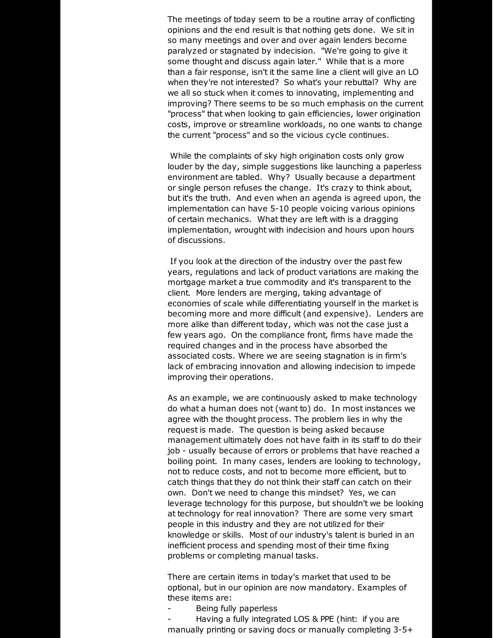The meetings of today seem to be a routine array of conflicting opinions and the end result is that nothing gets done. We sit in so many meetings and over and over again lenders become paralyzed or stagnated by indecision. "We're going to give it some thought and discuss again later." While that is a more than a fair response, isn't it the same line a client will give an LO when they're not interested? So what's your rebuttal? Why are we all so stuck when it comes to innovating, implementing and improving? There seems to be so much emphasis on the current "process" that when looking to gain efficiencies, lower origination costs, improve or streamline workloads, no one wants to change the current "process" and so the vicious cycle continues.

While the complaints of sky high origination costs only grow louder by the day, simple suggestions like launching a paperless environment are tabled. Why? Usually because a department or single person refuses the change. It's crazy to think about, but it's the truth. And even when an agenda is agreed upon, the implementation can have 5-10 people voicing various opinions of certain mechanics. What they are left with is a dragging implementation, wrought with indecision and hours upon hours of discussions.

If you look at the direction of the industry over the past few years, regulations and lack of product variations are making the mortgage market a true commodity and it's transparent to the client. More lenders are merging, taking advantage of economies of scale while differentiating yourself in the market is becoming more and more difficult (and expensive). Lenders are more alike than different today, which was not the case just a few years ago. On the compliance front, firms have made the required changes and in the process have absorbed the associated costs. Where we are seeing stagnation is in firm's lack of embracing innovation and allowing indecision to impede improving their operations.

As an example, we are continuously asked to make technology do what a human does not (want to) do. In most instances we agree with the thought process. The problem lies in why the request is made. The question is being asked because management ultimately does not have faith in its staff to do their job - usually because of errors or problems that have reached a boiling point. In many cases, lenders are looking to technology, not to reduce costs, and not to become more efficient, but to catch things that they do not think their staff can catch on their own. Don't we need to change this mindset? Yes, we can leverage technology for this purpose, but shouldn't we be looking at technology for real innovation? There are some very smart people in this industry and they are not utilized for their knowledge or skills. Most of our industry's talent is buried in an inefficient process and spending most of their time fixing problems or completing manual tasks.

There are certain items in today's market that used to be optional, but in our opinion are now mandatory. Examples of these items are:

Being fully paperless

Having a fully integrated LOS & PPE (hint: if you are manually printing or saving docs or manually completing 3-5+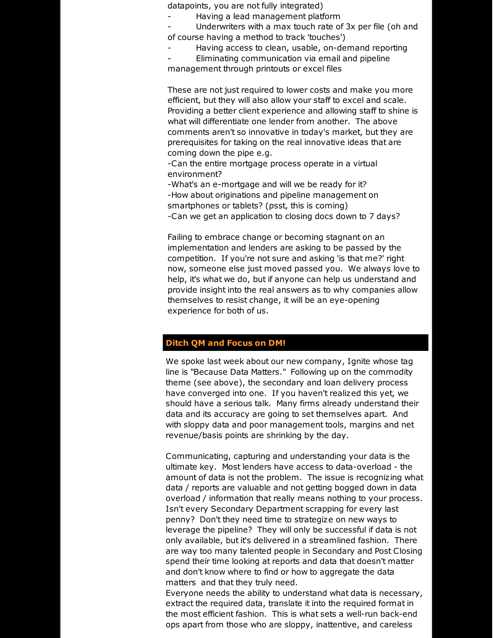datapoints, you are not fully integrated)

- Having a lead management platform

Underwriters with a max touch rate of 3x per file (oh and of course having a method to track 'touches')

Having access to clean, usable, on-demand reporting

Eliminating communication via email and pipeline management through printouts or excel files

These are not just required to lower costs and make you more efficient, but they will also allow your staff to excel and scale. Providing a better client experience and allowing staff to shine is what will differentiate one lender from another. The above comments aren't so innovative in today's market, but they are prerequisites for taking on the real innovative ideas that are coming down the pipe e.g.

-Can the entire mortgage process operate in a virtual environment?

-What's an e-mortgage and will we be ready for it? -How about originations and pipeline management on smartphones or tablets? (psst, this is coming)

-Can we get an application to closing docs down to 7 days?

Failing to embrace change or becoming stagnant on an implementation and lenders are asking to be passed by the competition. If you're not sure and asking 'is that me?' right now, someone else just moved passed you. We always love to help, it's what we do, but if anyone can help us understand and provide insight into the real answers as to why companies allow themselves to resist change, it will be an eye-opening experience for both of us.

## **Ditch QM and Focus on DM!**

We spoke last week about our new company, Ignite whose tag line is "Because Data Matters." Following up on the commodity theme (see above), the secondary and loan delivery process have converged into one. If you haven't realized this yet, we should have a serious talk. Many firms already understand their data and its accuracy are going to set themselves apart. And with sloppy data and poor management tools, margins and net revenue/basis points are shrinking by the day.

Communicating, capturing and understanding your data is the ultimate key. Most lenders have access to data-overload - the amount of data is not the problem. The issue is recognizing what data / reports are valuable and not getting bogged down in data overload / information that really means nothing to your process. Isn't every Secondary Department scrapping for every last penny? Don't they need time to strategize on new ways to leverage the pipeline? They will only be successful if data is not only available, but it's delivered in a streamlined fashion. There are way too many talented people in Secondary and Post Closing spend their time looking at reports and data that doesn't matter and don't know where to find or how to aggregate the data matters and that they truly need.

Everyone needs the ability to understand what data is necessary, extract the required data, translate it into the required format in the most efficient fashion. This is what sets a well-run back-end ops apart from those who are sloppy, inattentive, and careless